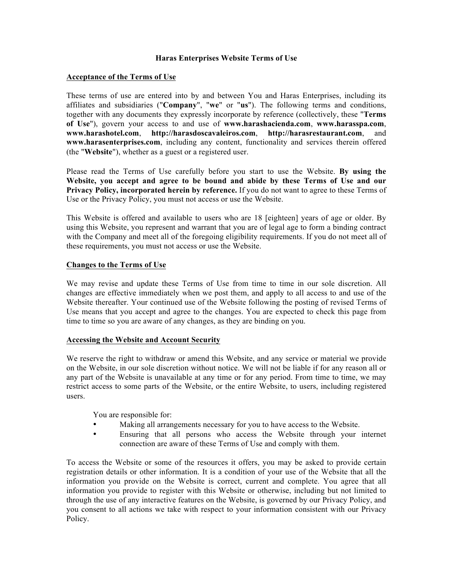#### **Haras Enterprises Website Terms of Use**

#### **Acceptance of the Terms of Use**

These terms of use are entered into by and between You and Haras Enterprises, including its affiliates and subsidiaries ("**Company**", "**we**" or "**us**"). The following terms and conditions, together with any documents they expressly incorporate by reference (collectively, these "**Terms of Use**"), govern your access to and use of **www.harashacienda.com**, **www.harasspa.com**, **www.harashotel.com**, **http://harasdoscavaleiros.com**, **http://harasrestaurant.com**, and **www.harasenterprises.com**, including any content, functionality and services therein offered (the "**Website**"), whether as a guest or a registered user.

Please read the Terms of Use carefully before you start to use the Website. **By using the Website, you accept and agree to be bound and abide by these Terms of Use and our Privacy Policy, incorporated herein by reference.** If you do not want to agree to these Terms of Use or the Privacy Policy, you must not access or use the Website.

This Website is offered and available to users who are 18 [eighteen] years of age or older. By using this Website, you represent and warrant that you are of legal age to form a binding contract with the Company and meet all of the foregoing eligibility requirements. If you do not meet all of these requirements, you must not access or use the Website.

#### **Changes to the Terms of Use**

We may revise and update these Terms of Use from time to time in our sole discretion. All changes are effective immediately when we post them, and apply to all access to and use of the Website thereafter. Your continued use of the Website following the posting of revised Terms of Use means that you accept and agree to the changes. You are expected to check this page from time to time so you are aware of any changes, as they are binding on you.

### **Accessing the Website and Account Security**

We reserve the right to withdraw or amend this Website, and any service or material we provide on the Website, in our sole discretion without notice. We will not be liable if for any reason all or any part of the Website is unavailable at any time or for any period. From time to time, we may restrict access to some parts of the Website, or the entire Website, to users, including registered users.

You are responsible for:

- Making all arrangements necessary for you to have access to the Website.
- Ensuring that all persons who access the Website through your internet connection are aware of these Terms of Use and comply with them.

To access the Website or some of the resources it offers, you may be asked to provide certain registration details or other information. It is a condition of your use of the Website that all the information you provide on the Website is correct, current and complete. You agree that all information you provide to register with this Website or otherwise, including but not limited to through the use of any interactive features on the Website, is governed by our Privacy Policy, and you consent to all actions we take with respect to your information consistent with our Privacy Policy.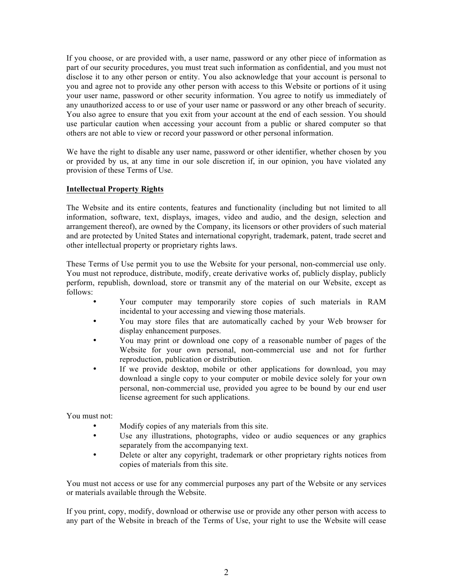If you choose, or are provided with, a user name, password or any other piece of information as part of our security procedures, you must treat such information as confidential, and you must not disclose it to any other person or entity. You also acknowledge that your account is personal to you and agree not to provide any other person with access to this Website or portions of it using your user name, password or other security information. You agree to notify us immediately of any unauthorized access to or use of your user name or password or any other breach of security. You also agree to ensure that you exit from your account at the end of each session. You should use particular caution when accessing your account from a public or shared computer so that others are not able to view or record your password or other personal information.

We have the right to disable any user name, password or other identifier, whether chosen by you or provided by us, at any time in our sole discretion if, in our opinion, you have violated any provision of these Terms of Use.

### **Intellectual Property Rights**

The Website and its entire contents, features and functionality (including but not limited to all information, software, text, displays, images, video and audio, and the design, selection and arrangement thereof), are owned by the Company, its licensors or other providers of such material and are protected by United States and international copyright, trademark, patent, trade secret and other intellectual property or proprietary rights laws.

These Terms of Use permit you to use the Website for your personal, non-commercial use only. You must not reproduce, distribute, modify, create derivative works of, publicly display, publicly perform, republish, download, store or transmit any of the material on our Website, except as follows:

- Your computer may temporarily store copies of such materials in RAM incidental to your accessing and viewing those materials.
- You may store files that are automatically cached by your Web browser for display enhancement purposes.
- You may print or download one copy of a reasonable number of pages of the Website for your own personal, non-commercial use and not for further reproduction, publication or distribution.
- If we provide desktop, mobile or other applications for download, you may download a single copy to your computer or mobile device solely for your own personal, non-commercial use, provided you agree to be bound by our end user license agreement for such applications.

You must not:

- Modify copies of any materials from this site.
- Use any illustrations, photographs, video or audio sequences or any graphics separately from the accompanying text.
- Delete or alter any copyright, trademark or other proprietary rights notices from copies of materials from this site.

You must not access or use for any commercial purposes any part of the Website or any services or materials available through the Website.

If you print, copy, modify, download or otherwise use or provide any other person with access to any part of the Website in breach of the Terms of Use, your right to use the Website will cease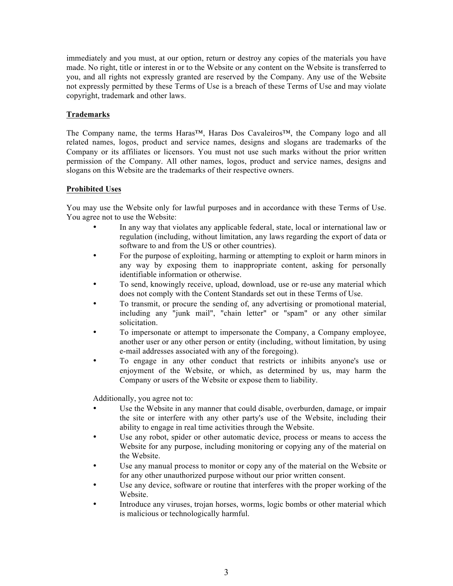immediately and you must, at our option, return or destroy any copies of the materials you have made. No right, title or interest in or to the Website or any content on the Website is transferred to you, and all rights not expressly granted are reserved by the Company. Any use of the Website not expressly permitted by these Terms of Use is a breach of these Terms of Use and may violate copyright, trademark and other laws.

# **Trademarks**

The Company name, the terms Haras™, Haras Dos Cavaleiros™, the Company logo and all related names, logos, product and service names, designs and slogans are trademarks of the Company or its affiliates or licensors. You must not use such marks without the prior written permission of the Company. All other names, logos, product and service names, designs and slogans on this Website are the trademarks of their respective owners.

### **Prohibited Uses**

You may use the Website only for lawful purposes and in accordance with these Terms of Use. You agree not to use the Website:

- In any way that violates any applicable federal, state, local or international law or regulation (including, without limitation, any laws regarding the export of data or software to and from the US or other countries).
- For the purpose of exploiting, harming or attempting to exploit or harm minors in any way by exposing them to inappropriate content, asking for personally identifiable information or otherwise.
- To send, knowingly receive, upload, download, use or re-use any material which does not comply with the Content Standards set out in these Terms of Use.
- To transmit, or procure the sending of, any advertising or promotional material, including any "junk mail", "chain letter" or "spam" or any other similar solicitation.
- To impersonate or attempt to impersonate the Company, a Company employee, another user or any other person or entity (including, without limitation, by using e-mail addresses associated with any of the foregoing).
- To engage in any other conduct that restricts or inhibits anyone's use or enjoyment of the Website, or which, as determined by us, may harm the Company or users of the Website or expose them to liability.

Additionally, you agree not to:

- Use the Website in any manner that could disable, overburden, damage, or impair the site or interfere with any other party's use of the Website, including their ability to engage in real time activities through the Website.
- Use any robot, spider or other automatic device, process or means to access the Website for any purpose, including monitoring or copying any of the material on the Website.
- Use any manual process to monitor or copy any of the material on the Website or for any other unauthorized purpose without our prior written consent.
- Use any device, software or routine that interferes with the proper working of the Website.
- Introduce any viruses, trojan horses, worms, logic bombs or other material which is malicious or technologically harmful.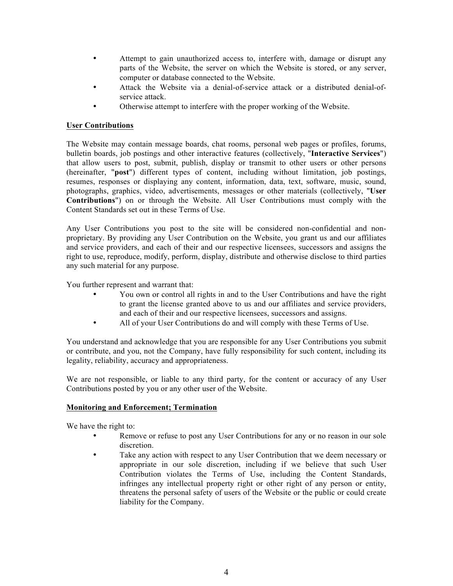- Attempt to gain unauthorized access to, interfere with, damage or disrupt any parts of the Website, the server on which the Website is stored, or any server, computer or database connected to the Website.
- Attack the Website via a denial-of-service attack or a distributed denial-ofservice attack.
- Otherwise attempt to interfere with the proper working of the Website.

## **User Contributions**

The Website may contain message boards, chat rooms, personal web pages or profiles, forums, bulletin boards, job postings and other interactive features (collectively, "**Interactive Services**") that allow users to post, submit, publish, display or transmit to other users or other persons (hereinafter, "**post**") different types of content, including without limitation, job postings, resumes, responses or displaying any content, information, data, text, software, music, sound, photographs, graphics, video, advertisements, messages or other materials (collectively, "**User Contributions**") on or through the Website. All User Contributions must comply with the Content Standards set out in these Terms of Use.

Any User Contributions you post to the site will be considered non-confidential and nonproprietary. By providing any User Contribution on the Website, you grant us and our affiliates and service providers, and each of their and our respective licensees, successors and assigns the right to use, reproduce, modify, perform, display, distribute and otherwise disclose to third parties any such material for any purpose.

You further represent and warrant that:

- You own or control all rights in and to the User Contributions and have the right to grant the license granted above to us and our affiliates and service providers, and each of their and our respective licensees, successors and assigns.
- All of your User Contributions do and will comply with these Terms of Use.

You understand and acknowledge that you are responsible for any User Contributions you submit or contribute, and you, not the Company, have fully responsibility for such content, including its legality, reliability, accuracy and appropriateness.

We are not responsible, or liable to any third party, for the content or accuracy of any User Contributions posted by you or any other user of the Website.

### **Monitoring and Enforcement; Termination**

We have the right to:

- Remove or refuse to post any User Contributions for any or no reason in our sole discretion.
- Take any action with respect to any User Contribution that we deem necessary or appropriate in our sole discretion, including if we believe that such User Contribution violates the Terms of Use, including the Content Standards, infringes any intellectual property right or other right of any person or entity, threatens the personal safety of users of the Website or the public or could create liability for the Company.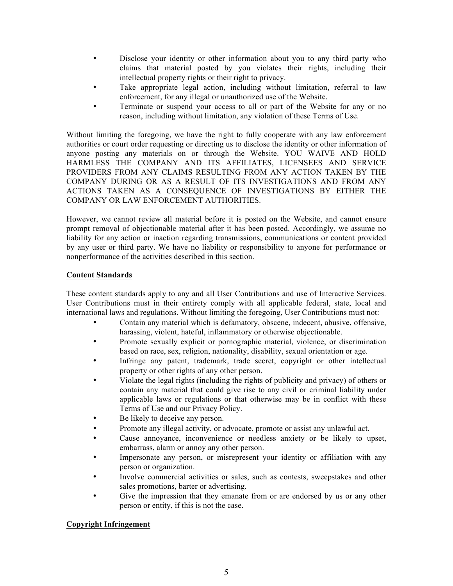- Disclose your identity or other information about you to any third party who claims that material posted by you violates their rights, including their intellectual property rights or their right to privacy.
- Take appropriate legal action, including without limitation, referral to law enforcement, for any illegal or unauthorized use of the Website.
- Terminate or suspend your access to all or part of the Website for any or no reason, including without limitation, any violation of these Terms of Use.

Without limiting the foregoing, we have the right to fully cooperate with any law enforcement authorities or court order requesting or directing us to disclose the identity or other information of anyone posting any materials on or through the Website. YOU WAIVE AND HOLD HARMLESS THE COMPANY AND ITS AFFILIATES, LICENSEES AND SERVICE PROVIDERS FROM ANY CLAIMS RESULTING FROM ANY ACTION TAKEN BY THE COMPANY DURING OR AS A RESULT OF ITS INVESTIGATIONS AND FROM ANY ACTIONS TAKEN AS A CONSEQUENCE OF INVESTIGATIONS BY EITHER THE COMPANY OR LAW ENFORCEMENT AUTHORITIES.

However, we cannot review all material before it is posted on the Website, and cannot ensure prompt removal of objectionable material after it has been posted. Accordingly, we assume no liability for any action or inaction regarding transmissions, communications or content provided by any user or third party. We have no liability or responsibility to anyone for performance or nonperformance of the activities described in this section.

# **Content Standards**

These content standards apply to any and all User Contributions and use of Interactive Services. User Contributions must in their entirety comply with all applicable federal, state, local and international laws and regulations. Without limiting the foregoing, User Contributions must not:

- Contain any material which is defamatory, obscene, indecent, abusive, offensive, harassing, violent, hateful, inflammatory or otherwise objectionable.
- Promote sexually explicit or pornographic material, violence, or discrimination based on race, sex, religion, nationality, disability, sexual orientation or age.
- Infringe any patent, trademark, trade secret, copyright or other intellectual property or other rights of any other person.
- Violate the legal rights (including the rights of publicity and privacy) of others or contain any material that could give rise to any civil or criminal liability under applicable laws or regulations or that otherwise may be in conflict with these Terms of Use and our Privacy Policy.
- Be likely to deceive any person.
- Promote any illegal activity, or advocate, promote or assist any unlawful act.
- Cause annoyance, inconvenience or needless anxiety or be likely to upset, embarrass, alarm or annoy any other person.
- Impersonate any person, or misrepresent your identity or affiliation with any person or organization.
- Involve commercial activities or sales, such as contests, sweepstakes and other sales promotions, barter or advertising.
- Give the impression that they emanate from or are endorsed by us or any other person or entity, if this is not the case.

# **Copyright Infringement**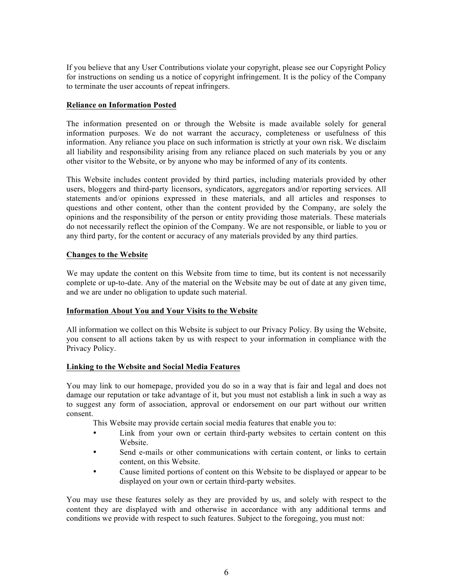If you believe that any User Contributions violate your copyright, please see our Copyright Policy for instructions on sending us a notice of copyright infringement. It is the policy of the Company to terminate the user accounts of repeat infringers.

#### **Reliance on Information Posted**

The information presented on or through the Website is made available solely for general information purposes. We do not warrant the accuracy, completeness or usefulness of this information. Any reliance you place on such information is strictly at your own risk. We disclaim all liability and responsibility arising from any reliance placed on such materials by you or any other visitor to the Website, or by anyone who may be informed of any of its contents.

This Website includes content provided by third parties, including materials provided by other users, bloggers and third-party licensors, syndicators, aggregators and/or reporting services. All statements and/or opinions expressed in these materials, and all articles and responses to questions and other content, other than the content provided by the Company, are solely the opinions and the responsibility of the person or entity providing those materials. These materials do not necessarily reflect the opinion of the Company. We are not responsible, or liable to you or any third party, for the content or accuracy of any materials provided by any third parties.

### **Changes to the Website**

We may update the content on this Website from time to time, but its content is not necessarily complete or up-to-date. Any of the material on the Website may be out of date at any given time, and we are under no obligation to update such material.

### **Information About You and Your Visits to the Website**

All information we collect on this Website is subject to our Privacy Policy. By using the Website, you consent to all actions taken by us with respect to your information in compliance with the Privacy Policy.

### **Linking to the Website and Social Media Features**

You may link to our homepage, provided you do so in a way that is fair and legal and does not damage our reputation or take advantage of it, but you must not establish a link in such a way as to suggest any form of association, approval or endorsement on our part without our written consent.

This Website may provide certain social media features that enable you to:

- Link from your own or certain third-party websites to certain content on this **Website**
- Send e-mails or other communications with certain content, or links to certain content, on this Website.
- Cause limited portions of content on this Website to be displayed or appear to be displayed on your own or certain third-party websites.

You may use these features solely as they are provided by us, and solely with respect to the content they are displayed with and otherwise in accordance with any additional terms and conditions we provide with respect to such features. Subject to the foregoing, you must not: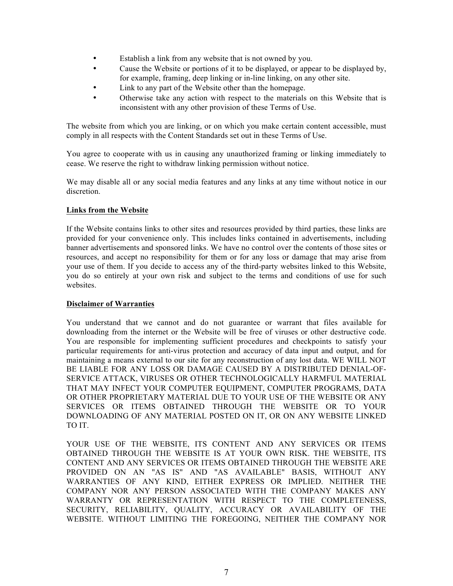- Establish a link from any website that is not owned by you.
- Cause the Website or portions of it to be displayed, or appear to be displayed by, for example, framing, deep linking or in-line linking, on any other site.
- Link to any part of the Website other than the homepage.
- Otherwise take any action with respect to the materials on this Website that is inconsistent with any other provision of these Terms of Use.

The website from which you are linking, or on which you make certain content accessible, must comply in all respects with the Content Standards set out in these Terms of Use.

You agree to cooperate with us in causing any unauthorized framing or linking immediately to cease. We reserve the right to withdraw linking permission without notice.

We may disable all or any social media features and any links at any time without notice in our discretion.

# **Links from the Website**

If the Website contains links to other sites and resources provided by third parties, these links are provided for your convenience only. This includes links contained in advertisements, including banner advertisements and sponsored links. We have no control over the contents of those sites or resources, and accept no responsibility for them or for any loss or damage that may arise from your use of them. If you decide to access any of the third-party websites linked to this Website, you do so entirely at your own risk and subject to the terms and conditions of use for such websites.

### **Disclaimer of Warranties**

You understand that we cannot and do not guarantee or warrant that files available for downloading from the internet or the Website will be free of viruses or other destructive code. You are responsible for implementing sufficient procedures and checkpoints to satisfy your particular requirements for anti-virus protection and accuracy of data input and output, and for maintaining a means external to our site for any reconstruction of any lost data. WE WILL NOT BE LIABLE FOR ANY LOSS OR DAMAGE CAUSED BY A DISTRIBUTED DENIAL-OF-SERVICE ATTACK, VIRUSES OR OTHER TECHNOLOGICALLY HARMFUL MATERIAL THAT MAY INFECT YOUR COMPUTER EQUIPMENT, COMPUTER PROGRAMS, DATA OR OTHER PROPRIETARY MATERIAL DUE TO YOUR USE OF THE WEBSITE OR ANY SERVICES OR ITEMS OBTAINED THROUGH THE WEBSITE OR TO YOUR DOWNLOADING OF ANY MATERIAL POSTED ON IT, OR ON ANY WEBSITE LINKED TO IT.

YOUR USE OF THE WEBSITE, ITS CONTENT AND ANY SERVICES OR ITEMS OBTAINED THROUGH THE WEBSITE IS AT YOUR OWN RISK. THE WEBSITE, ITS CONTENT AND ANY SERVICES OR ITEMS OBTAINED THROUGH THE WEBSITE ARE PROVIDED ON AN "AS IS" AND "AS AVAILABLE" BASIS, WITHOUT ANY WARRANTIES OF ANY KIND, EITHER EXPRESS OR IMPLIED. NEITHER THE COMPANY NOR ANY PERSON ASSOCIATED WITH THE COMPANY MAKES ANY WARRANTY OR REPRESENTATION WITH RESPECT TO THE COMPLETENESS, SECURITY, RELIABILITY, QUALITY, ACCURACY OR AVAILABILITY OF THE WEBSITE. WITHOUT LIMITING THE FOREGOING, NEITHER THE COMPANY NOR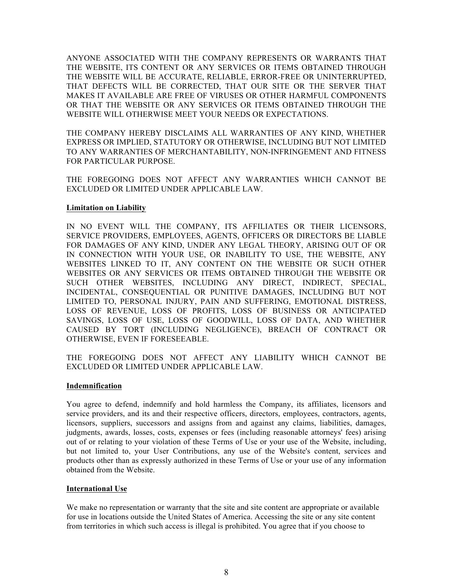ANYONE ASSOCIATED WITH THE COMPANY REPRESENTS OR WARRANTS THAT THE WEBSITE, ITS CONTENT OR ANY SERVICES OR ITEMS OBTAINED THROUGH THE WEBSITE WILL BE ACCURATE, RELIABLE, ERROR-FREE OR UNINTERRUPTED, THAT DEFECTS WILL BE CORRECTED, THAT OUR SITE OR THE SERVER THAT MAKES IT AVAILABLE ARE FREE OF VIRUSES OR OTHER HARMFUL COMPONENTS OR THAT THE WEBSITE OR ANY SERVICES OR ITEMS OBTAINED THROUGH THE WEBSITE WILL OTHERWISE MEET YOUR NEEDS OR EXPECTATIONS.

THE COMPANY HEREBY DISCLAIMS ALL WARRANTIES OF ANY KIND, WHETHER EXPRESS OR IMPLIED, STATUTORY OR OTHERWISE, INCLUDING BUT NOT LIMITED TO ANY WARRANTIES OF MERCHANTABILITY, NON-INFRINGEMENT AND FITNESS FOR PARTICULAR PURPOSE.

THE FOREGOING DOES NOT AFFECT ANY WARRANTIES WHICH CANNOT BE EXCLUDED OR LIMITED UNDER APPLICABLE LAW.

#### **Limitation on Liability**

IN NO EVENT WILL THE COMPANY, ITS AFFILIATES OR THEIR LICENSORS, SERVICE PROVIDERS, EMPLOYEES, AGENTS, OFFICERS OR DIRECTORS BE LIABLE FOR DAMAGES OF ANY KIND, UNDER ANY LEGAL THEORY, ARISING OUT OF OR IN CONNECTION WITH YOUR USE, OR INABILITY TO USE, THE WEBSITE, ANY WEBSITES LINKED TO IT, ANY CONTENT ON THE WEBSITE OR SUCH OTHER WEBSITES OR ANY SERVICES OR ITEMS OBTAINED THROUGH THE WEBSITE OR SUCH OTHER WEBSITES, INCLUDING ANY DIRECT, INDIRECT, SPECIAL, INCIDENTAL, CONSEQUENTIAL OR PUNITIVE DAMAGES, INCLUDING BUT NOT LIMITED TO, PERSONAL INJURY, PAIN AND SUFFERING, EMOTIONAL DISTRESS, LOSS OF REVENUE, LOSS OF PROFITS, LOSS OF BUSINESS OR ANTICIPATED SAVINGS, LOSS OF USE, LOSS OF GOODWILL, LOSS OF DATA, AND WHETHER CAUSED BY TORT (INCLUDING NEGLIGENCE), BREACH OF CONTRACT OR OTHERWISE, EVEN IF FORESEEABLE.

THE FOREGOING DOES NOT AFFECT ANY LIABILITY WHICH CANNOT BE EXCLUDED OR LIMITED UNDER APPLICABLE LAW.

#### **Indemnification**

You agree to defend, indemnify and hold harmless the Company, its affiliates, licensors and service providers, and its and their respective officers, directors, employees, contractors, agents, licensors, suppliers, successors and assigns from and against any claims, liabilities, damages, judgments, awards, losses, costs, expenses or fees (including reasonable attorneys' fees) arising out of or relating to your violation of these Terms of Use or your use of the Website, including, but not limited to, your User Contributions, any use of the Website's content, services and products other than as expressly authorized in these Terms of Use or your use of any information obtained from the Website.

### **International Use**

We make no representation or warranty that the site and site content are appropriate or available for use in locations outside the United States of America. Accessing the site or any site content from territories in which such access is illegal is prohibited. You agree that if you choose to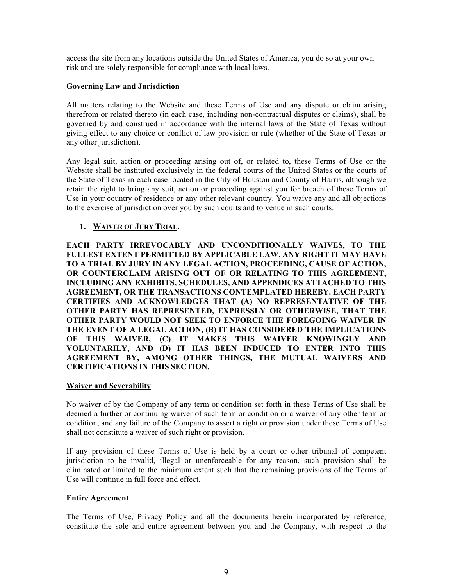access the site from any locations outside the United States of America, you do so at your own risk and are solely responsible for compliance with local laws.

#### **Governing Law and Jurisdiction**

All matters relating to the Website and these Terms of Use and any dispute or claim arising therefrom or related thereto (in each case, including non-contractual disputes or claims), shall be governed by and construed in accordance with the internal laws of the State of Texas without giving effect to any choice or conflict of law provision or rule (whether of the State of Texas or any other jurisdiction).

Any legal suit, action or proceeding arising out of, or related to, these Terms of Use or the Website shall be instituted exclusively in the federal courts of the United States or the courts of the State of Texas in each case located in the City of Houston and County of Harris, although we retain the right to bring any suit, action or proceeding against you for breach of these Terms of Use in your country of residence or any other relevant country. You waive any and all objections to the exercise of jurisdiction over you by such courts and to venue in such courts.

### **1. WAIVER OF JURY TRIAL.**

**EACH PARTY IRREVOCABLY AND UNCONDITIONALLY WAIVES, TO THE FULLEST EXTENT PERMITTED BY APPLICABLE LAW, ANY RIGHT IT MAY HAVE TO A TRIAL BY JURY IN ANY LEGAL ACTION, PROCEEDING, CAUSE OF ACTION, OR COUNTERCLAIM ARISING OUT OF OR RELATING TO THIS AGREEMENT, INCLUDING ANY EXHIBITS, SCHEDULES, AND APPENDICES ATTACHED TO THIS AGREEMENT, OR THE TRANSACTIONS CONTEMPLATED HEREBY. EACH PARTY CERTIFIES AND ACKNOWLEDGES THAT (A) NO REPRESENTATIVE OF THE OTHER PARTY HAS REPRESENTED, EXPRESSLY OR OTHERWISE, THAT THE OTHER PARTY WOULD NOT SEEK TO ENFORCE THE FOREGOING WAIVER IN THE EVENT OF A LEGAL ACTION, (B) IT HAS CONSIDERED THE IMPLICATIONS OF THIS WAIVER, (C) IT MAKES THIS WAIVER KNOWINGLY AND VOLUNTARILY, AND (D) IT HAS BEEN INDUCED TO ENTER INTO THIS AGREEMENT BY, AMONG OTHER THINGS, THE MUTUAL WAIVERS AND CERTIFICATIONS IN THIS SECTION.**

#### **Waiver and Severability**

No waiver of by the Company of any term or condition set forth in these Terms of Use shall be deemed a further or continuing waiver of such term or condition or a waiver of any other term or condition, and any failure of the Company to assert a right or provision under these Terms of Use shall not constitute a waiver of such right or provision.

If any provision of these Terms of Use is held by a court or other tribunal of competent jurisdiction to be invalid, illegal or unenforceable for any reason, such provision shall be eliminated or limited to the minimum extent such that the remaining provisions of the Terms of Use will continue in full force and effect.

#### **Entire Agreement**

The Terms of Use, Privacy Policy and all the documents herein incorporated by reference, constitute the sole and entire agreement between you and the Company, with respect to the